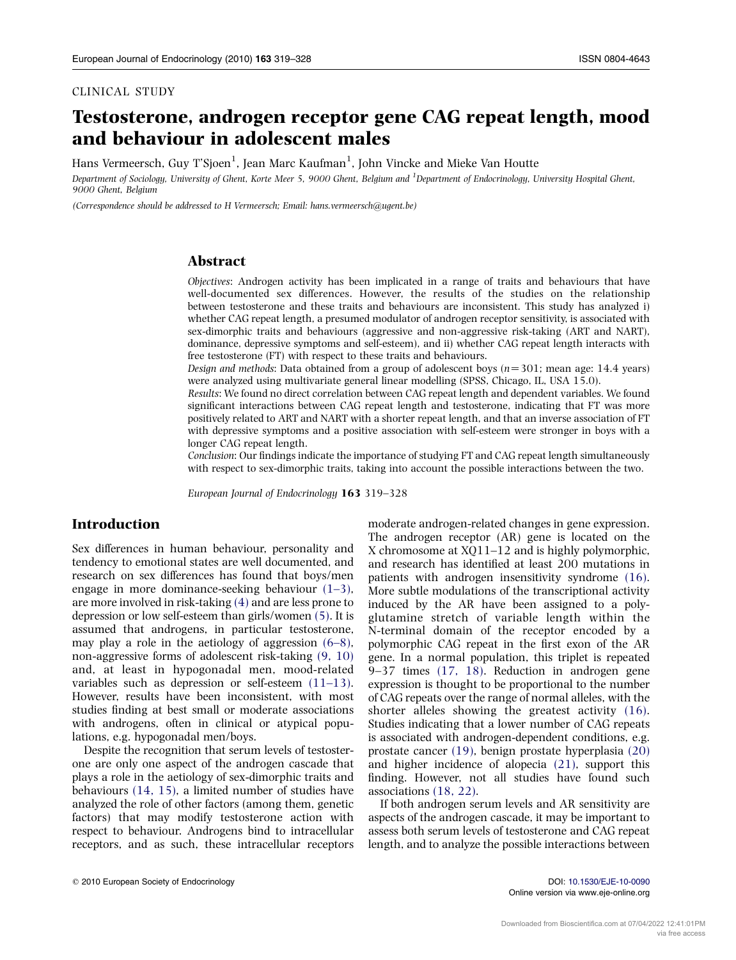# Testosterone, androgen receptor gene CAG repeat length, mood and behaviour in adolescent males

Hans Vermeersch, Guy T'Sjoen<sup>1</sup>, Jean Marc Kaufman<sup>1</sup>, John Vincke and Mieke Van Houtte

Department of Sociology, University of Ghent, Korte Meer 5, 9000 Ghent, Belgium and <sup>1</sup>Department of Endocrinology, University Hospital Ghent, 9000 Ghent, Belgium

(Correspondence should be addressed to H Vermeersch; Email: hans.vermeersch@ugent.be)

# Abstract

Objectives: Androgen activity has been implicated in a range of traits and behaviours that have well-documented sex differences. However, the results of the studies on the relationship between testosterone and these traits and behaviours are inconsistent. This study has analyzed i) whether CAG repeat length, a presumed modulator of androgen receptor sensitivity, is associated with sex-dimorphic traits and behaviours (aggressive and non-aggressive risk-taking (ART and NART), dominance, depressive symptoms and self-esteem), and ii) whether CAG repeat length interacts with free testosterone (FT) with respect to these traits and behaviours.

Design and methods: Data obtained from a group of adolescent boys ( $n=301$ ; mean age: 14.4 years) were analyzed using multivariate general linear modelling (SPSS, Chicago, IL, USA 15.0).

Results: We found no direct correlation between CAG repeat length and dependent variables. We found significant interactions between CAG repeat length and testosterone, indicating that FT was more positively related to ART and NART with a shorter repeat length, and that an inverse association of FT with depressive symptoms and a positive association with self-esteem were stronger in boys with a longer CAG repeat length.

Conclusion: Our findings indicate the importance of studying FT and CAG repeat length simultaneously with respect to sex-dimorphic traits, taking into account the possible interactions between the two.

European Journal of Endocrinology 163 319–328

# **Introduction**

Sex differences in human behaviour, personality and tendency to emotional states are well documented, and research on sex differences has found that boys/men engage in more dominance-seeking behaviour [\(1–3\)](#page-7-0), are more involved in risk-taking [\(4\)](#page-7-0) and are less prone to depression or low self-esteem than girls/women [\(5\).](#page-7-0) It is assumed that androgens, in particular testosterone, may play a role in the aetiology of aggression [\(6–8\)](#page-7-0), non-aggressive forms of adolescent risk-taking [\(9, 10\)](#page-8-0) and, at least in hypogonadal men, mood-related variables such as depression or self-esteem [\(11–13\)](#page-8-0). However, results have been inconsistent, with most studies finding at best small or moderate associations with androgens, often in clinical or atypical populations, e.g. hypogonadal men/boys.

Despite the recognition that serum levels of testosterone are only one aspect of the androgen cascade that plays a role in the aetiology of sex-dimorphic traits and behaviours [\(14, 15\),](#page-8-0) a limited number of studies have analyzed the role of other factors (among them, genetic factors) that may modify testosterone action with respect to behaviour. Androgens bind to intracellular receptors, and as such, these intracellular receptors moderate androgen-related changes in gene expression. The androgen receptor (AR) gene is located on the X chromosome at XQ11–12 and is highly polymorphic, and research has identified at least 200 mutations in patients with androgen insensitivity syndrome [\(16\)](#page-8-0). More subtle modulations of the transcriptional activity induced by the AR have been assigned to a polyglutamine stretch of variable length within the N-terminal domain of the receptor encoded by a polymorphic CAG repeat in the first exon of the AR gene. In a normal population, this triplet is repeated 9–37 times [\(17, 18\)](#page-8-0). Reduction in androgen gene expression is thought to be proportional to the number of CAG repeats over the range of normal alleles, with the shorter alleles showing the greatest activity [\(16\)](#page-8-0). Studies indicating that a lower number of CAG repeats is associated with androgen-dependent conditions, e.g. prostate cancer [\(19\)](#page-8-0), benign prostate hyperplasia [\(20\)](#page-8-0) and higher incidence of alopecia [\(21\),](#page-8-0) support this finding. However, not all studies have found such associations [\(18, 22\).](#page-8-0)

If both androgen serum levels and AR sensitivity are aspects of the androgen cascade, it may be important to assess both serum levels of testosterone and CAG repeat length, and to analyze the possible interactions between

Online version via www.eje-online.org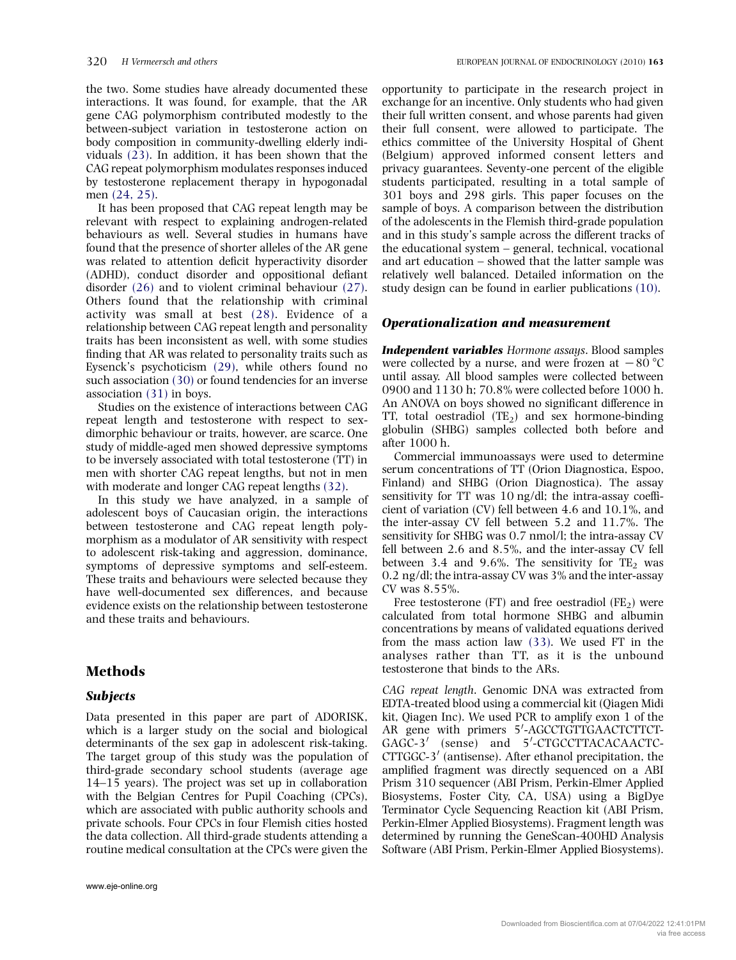the two. Some studies have already documented these interactions. It was found, for example, that the AR gene CAG polymorphism contributed modestly to the between-subject variation in testosterone action on body composition in community-dwelling elderly individuals [\(23\).](#page-8-0) In addition, it has been shown that the CAG repeat polymorphism modulates responses induced by testosterone replacement therapy in hypogonadal men [\(24, 25\)](#page-8-0).

It has been proposed that CAG repeat length may be relevant with respect to explaining androgen-related behaviours as well. Several studies in humans have found that the presence of shorter alleles of the AR gene was related to attention deficit hyperactivity disorder (ADHD), conduct disorder and oppositional defiant disorder [\(26\)](#page-8-0) and to violent criminal behaviour [\(27\).](#page-8-0) Others found that the relationship with criminal activity was small at best [\(28\)](#page-8-0). Evidence of a relationship between CAG repeat length and personality traits has been inconsistent as well, with some studies finding that AR was related to personality traits such as Eysenck's psychoticism [\(29\),](#page-8-0) while others found no such association [\(30\)](#page-8-0) or found tendencies for an inverse association [\(31\)](#page-8-0) in boys.

Studies on the existence of interactions between CAG repeat length and testosterone with respect to sexdimorphic behaviour or traits, however, are scarce. One study of middle-aged men showed depressive symptoms to be inversely associated with total testosterone (TT) in men with shorter CAG repeat lengths, but not in men with moderate and longer CAG repeat lengths [\(32\).](#page-8-0)

In this study we have analyzed, in a sample of adolescent boys of Caucasian origin, the interactions between testosterone and CAG repeat length polymorphism as a modulator of AR sensitivity with respect to adolescent risk-taking and aggression, dominance, symptoms of depressive symptoms and self-esteem. These traits and behaviours were selected because they have well-documented sex differences, and because evidence exists on the relationship between testosterone and these traits and behaviours.

# Methods

## Subjects

Data presented in this paper are part of ADORISK, which is a larger study on the social and biological determinants of the sex gap in adolescent risk-taking. The target group of this study was the population of third-grade secondary school students (average age 14–15 years). The project was set up in collaboration with the Belgian Centres for Pupil Coaching (CPCs), which are associated with public authority schools and private schools. Four CPCs in four Flemish cities hosted the data collection. All third-grade students attending a routine medical consultation at the CPCs were given the

opportunity to participate in the research project in exchange for an incentive. Only students who had given their full written consent, and whose parents had given their full consent, were allowed to participate. The ethics committee of the University Hospital of Ghent (Belgium) approved informed consent letters and privacy guarantees. Seventy-one percent of the eligible students participated, resulting in a total sample of 301 boys and 298 girls. This paper focuses on the sample of boys. A comparison between the distribution of the adolescents in the Flemish third-grade population and in this study's sample across the different tracks of the educational system – general, technical, vocational and art education – showed that the latter sample was relatively well balanced. Detailed information on the study design can be found in earlier publications [\(10\)](#page-8-0).

## Operationalization and measurement

**Independent variables** Hormone assays. Blood samples were collected by a nurse, and were frozen at  $-80$  <sup>o</sup>C until assay. All blood samples were collected between 0900 and 1130 h; 70.8% were collected before 1000 h. An ANOVA on boys showed no significant difference in TT, total oestradiol  $(TE<sub>2</sub>)$  and sex hormone-binding globulin (SHBG) samples collected both before and after 1000 h.

Commercial immunoassays were used to determine serum concentrations of TT (Orion Diagnostica, Espoo, Finland) and SHBG (Orion Diagnostica). The assay sensitivity for TT was 10 ng/dl; the intra-assay coefficient of variation (CV) fell between 4.6 and 10.1%, and the inter-assay CV fell between 5.2 and 11.7%. The sensitivity for SHBG was 0.7 nmol/l; the intra-assay CV fell between 2.6 and 8.5%, and the inter-assay CV fell between 3.4 and 9.6%. The sensitivity for  $TE_2$  was 0.2 ng/dl; the intra-assay CV was 3% and the inter-assay CV was 8.55%.

Free testosterone (FT) and free oestradiol (FE<sub>2</sub>) were calculated from total hormone SHBG and albumin concentrations by means of validated equations derived from the mass action law [\(33\).](#page-8-0) We used FT in the analyses rather than TT, as it is the unbound testosterone that binds to the ARs.

CAG repeat length. Genomic DNA was extracted from EDTA-treated blood using a commercial kit (Qiagen Midi kit, Qiagen Inc). We used PCR to amplify exon 1 of the AR gene with primers 5'-AGCCTGTTGAACTCTTCT-GAGC-3' (sense) and 5'-CTGCCTTACACAACTC- $CTTGGC-3'$  (antisense). After ethanol precipitation, the amplified fragment was directly sequenced on a ABI Prism 310 sequencer (ABI Prism, Perkin-Elmer Applied Biosystems, Foster City, CA, USA) using a BigDye Terminator Cycle Sequencing Reaction kit (ABI Prism, Perkin-Elmer Applied Biosystems). Fragment length was determined by running the GeneScan-400HD Analysis Software (ABI Prism, Perkin-Elmer Applied Biosystems).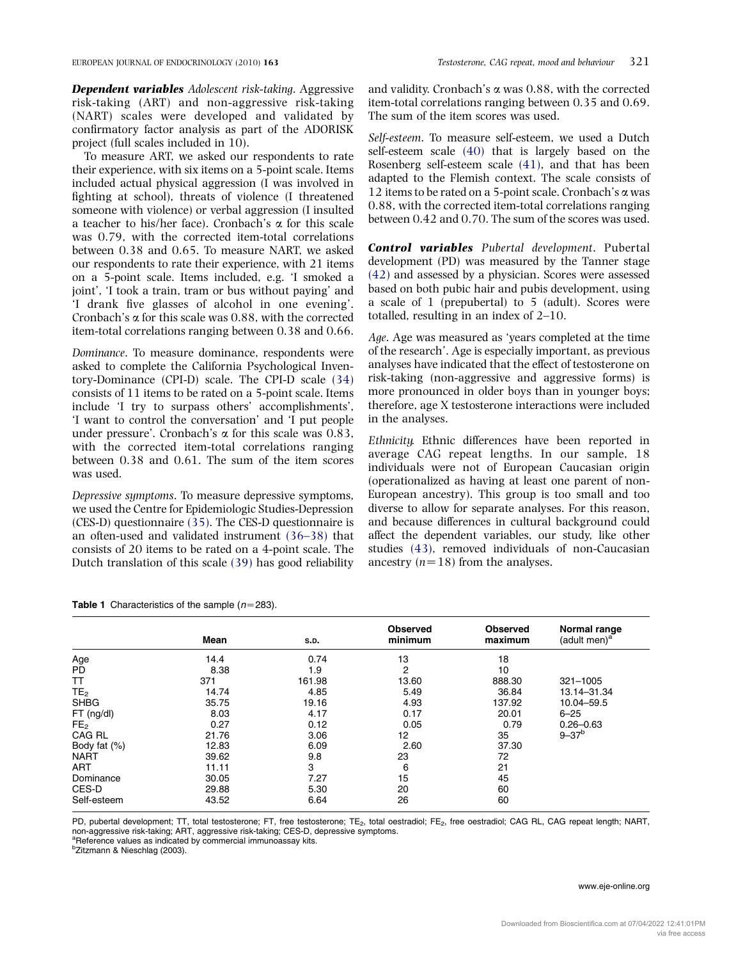<span id="page-2-0"></span>Dependent variables Adolescent risk-taking. Aggressive risk-taking (ART) and non-aggressive risk-taking (NART) scales were developed and validated by confirmatory factor analysis as part of the ADORISK project (full scales included in 10).

To measure ART, we asked our respondents to rate their experience, with six items on a 5-point scale. Items included actual physical aggression (I was involved in fighting at school), threats of violence (I threatened someone with violence) or verbal aggression (I insulted a teacher to his/her face). Cronbach's  $\alpha$  for this scale was 0.79, with the corrected item-total correlations between 0.38 and 0.65. To measure NART, we asked our respondents to rate their experience, with 21 items on a 5-point scale. Items included, e.g. 'I smoked a joint', 'I took a train, tram or bus without paying' and 'I drank five glasses of alcohol in one evening'. Cronbach's  $\alpha$  for this scale was 0.88, with the corrected item-total correlations ranging between 0.38 and 0.66.

Dominance. To measure dominance, respondents were asked to complete the California Psychological Inventory-Dominance (CPI-D) scale. The CPI-D scale [\(34\)](#page-8-0) consists of 11 items to be rated on a 5-point scale. Items include 'I try to surpass others' accomplishments', 'I want to control the conversation' and 'I put people under pressure'. Cronbach's  $\alpha$  for this scale was 0.83, with the corrected item-total correlations ranging between 0.38 and 0.61. The sum of the item scores was used.

Depressive symptoms. To measure depressive symptoms, we used the Centre for Epidemiologic Studies-Depression (CES-D) questionnaire [\(35\)](#page-8-0). The CES-D questionnaire is an often-used and validated instrument [\(36–38\)](#page-8-0) that consists of 20 items to be rated on a 4-point scale. The Dutch translation of this scale [\(39\)](#page-8-0) has good reliability and validity. Cronbach's  $\alpha$  was 0.88, with the corrected item-total correlations ranging between 0.35 and 0.69. The sum of the item scores was used.

Self-esteem. To measure self-esteem, we used a Dutch self-esteem scale [\(40\)](#page-8-0) that is largely based on the Rosenberg self-esteem scale [\(41\),](#page-8-0) and that has been adapted to the Flemish context. The scale consists of 12 items to be rated on a 5-point scale. Cronbach's  $\alpha$  was 0.88, with the corrected item-total correlations ranging between 0.42 and 0.70. The sum of the scores was used.

Control variables Pubertal development. Pubertal development (PD) was measured by the Tanner stage [\(42\)](#page-9-0) and assessed by a physician. Scores were assessed based on both pubic hair and pubis development, using a scale of 1 (prepubertal) to 5 (adult). Scores were totalled, resulting in an index of 2–10.

Age. Age was measured as 'years completed at the time of the research'. Age is especially important, as previous analyses have indicated that the effect of testosterone on risk-taking (non-aggressive and aggressive forms) is more pronounced in older boys than in younger boys: therefore, age X testosterone interactions were included in the analyses.

Ethnicity. Ethnic differences have been reported in average CAG repeat lengths. In our sample, 18 individuals were not of European Caucasian origin (operationalized as having at least one parent of non-European ancestry). This group is too small and too diverse to allow for separate analyses. For this reason, and because differences in cultural background could affect the dependent variables, our study, like other studies [\(43\),](#page-9-0) removed individuals of non-Caucasian ancestry  $(n=18)$  from the analyses.

|                 | Mean  | S.D.   | <b>Observed</b><br>minimum | <b>Observed</b><br>maximum | Normal range<br>(adult men) <sup>a</sup> |
|-----------------|-------|--------|----------------------------|----------------------------|------------------------------------------|
| Age             | 14.4  | 0.74   | 13                         | 18                         |                                          |
| PD.             | 8.38  | 1.9    | $\overline{2}$             | 10                         |                                          |
| TT              | 371   | 161.98 | 13.60                      | 888.30                     | 321-1005                                 |
| TE <sub>2</sub> | 14.74 | 4.85   | 5.49                       | 36.84                      | 13.14-31.34                              |
| <b>SHBG</b>     | 35.75 | 19.16  | 4.93                       | 137.92                     | 10.04-59.5                               |
| $FT$ (ng/dl)    | 8.03  | 4.17   | 0.17                       | 20.01                      | $6 - 25$                                 |
| FE <sub>2</sub> | 0.27  | 0.12   | 0.05                       | 0.79                       | $0.26 - 0.63$                            |
| CAG RL          | 21.76 | 3.06   | 12                         | 35                         | $9 - 37b$                                |
| Body fat $(\%)$ | 12.83 | 6.09   | 2.60                       | 37.30                      |                                          |
| <b>NART</b>     | 39.62 | 9.8    | 23                         | 72                         |                                          |
| <b>ART</b>      | 11.11 | 3      | 6                          | 21                         |                                          |
| Dominance       | 30.05 | 7.27   | 15                         | 45                         |                                          |
| CES-D           | 29.88 | 5.30   | 20                         | 60                         |                                          |
| Self-esteem     | 43.52 | 6.64   | 26                         | 60                         |                                          |

**Table 1** Characteristics of the sample  $(n=283)$ .

PD, pubertal development; TT, total testosterone; FT, free testosterone; TE<sub>2</sub>, total oestradiol; FE<sub>2</sub>, free oestradiol; CAG RL, CAG repeat length; NART, non-aggressive risk-taking; ART, aggressive risk-taking; CES-D, depressive symptoms.

<sup>a</sup>Reference values as indicated by commercial immunoassay kits.

<sup>b</sup>Zitzmann & Nieschlag (2003).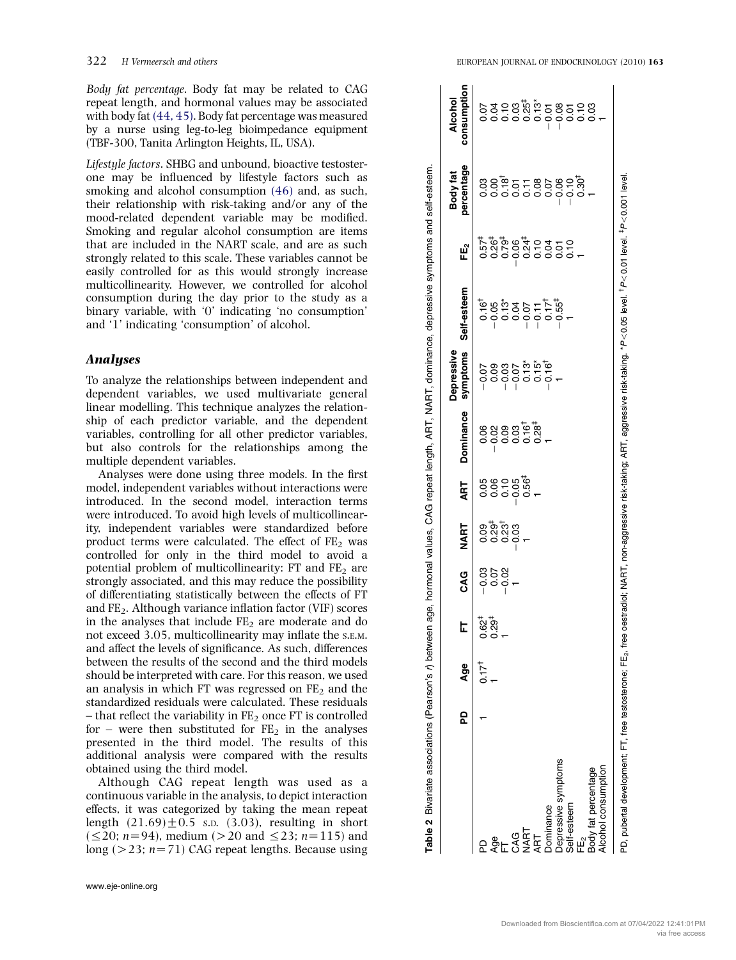<span id="page-3-0"></span>Body fat percentage. Body fat may be related to CAG repeat length, and hormonal values may be associated with body fat [\(44, 45\).](#page-9-0) Body fat percentage was measured by a nurse using leg-to-leg bioimpedance equipment (TBF-300, Tanita Arlington Heights, IL, USA).

Lifestyle factors. SHBG and unbound, bioactive testosterone may be influenced by lifestyle factors such as smoking and alcohol consumption [\(46\)](#page-9-0) and, as such, their relationship with risk-taking and/or any of the mood-related dependent variable may be modified. Smoking and regular alcohol consumption are items that are included in the NART scale, and are as such strongly related to this scale. These variables cannot be easily controlled for as this would strongly increase multicollinearity. However, we controlled for alcohol consumption during the day prior to the study as a binary variable, with '0' indicating 'no consumption' and '1' indicating 'consumption' of alcohol.

#### Analyses

To analyze the relationships between independent and dependent variables, we used multivariate general linear modelling. This technique analyzes the relationship of each predictor variable, and the dependent variables, controlling for all other predictor variables, but also controls for the relationships among the multiple dependent variables.

Analyses were done using three models. In the first model, independent variables without interactions were introduced. In the second model, interaction terms were introduced. To avoid high levels of multicollinearity, independent variables were standardized before product terms were calculated. The effect of  $FE<sub>2</sub>$  was controlled for only in the third model to avoid a potential problem of multicollinearity: FT and  $FE<sub>2</sub>$  are strongly associated, and this may reduce the possibility of differentiating statistically between the effects of FT and FE<sub>2</sub>. Although variance inflation factor (VIF) scores in the analyses that include  $FE<sub>2</sub>$  are moderate and do not exceed 3.05, multicollinearity may inflate the S.E.M. and affect the levels of significance. As such, differences between the results of the second and the third models should be interpreted with care. For this reason, we used an analysis in which FT was regressed on  $FE<sub>2</sub>$  and the standardized residuals were calculated. These residuals – that reflect the variability in  $FE_2$  once FT is controlled for – were then substituted for  $FE_2$  in the analyses presented in the third model. The results of this additional analysis were compared with the results obtained using the third model.

Although CAG repeat length was used as a continuous variable in the analysis, to depict interaction effects, it was categorized by taking the mean repeat length  $(21.69) \pm 0.5$  s.D. (3.03), resulting in short  $(\leq 20; n=94)$ , medium (> 20 and  $\leq 23; n=115$ ) and long ( $>$ 23; n=71) CAG repeat lengths. Because using

|                     |   |                  |              |                  |                                        |                               |                                         | Depressive |             |                 | Body fat   | Alcohol     |
|---------------------|---|------------------|--------------|------------------|----------------------------------------|-------------------------------|-----------------------------------------|------------|-------------|-----------------|------------|-------------|
|                     | 윤 | Age              | ᄂ            | <b>CAG</b>       | <b>NART</b>                            | ART                           | Dominance                               | symptoms   | Self-esteem | FÉ <sub>2</sub> | percentage | consumption |
|                     |   | $0.17^{\dagger}$ |              |                  |                                        |                               |                                         |            |             |                 |            |             |
| Age                 |   |                  | 294<br>0.291 | $358$<br>$-0.50$ |                                        |                               |                                         |            |             |                 |            |             |
|                     |   |                  |              |                  | <b>១</b> ចំនុច<br>១ លី លី ១<br>០ ០ ០ ០ | မ<br>မွေ ၁ ၁ ၁ ၁<br>၁ ၁ ၁ ၁ ၁ | ७ ८ ८ ८ ५ <del>५ ६</del><br>७ ० ० ० ० ० |            |             |                 |            |             |
| <b>DAG</b>          |   |                  |              |                  |                                        |                               |                                         |            |             |                 |            |             |
| <b>VART</b><br>ART  |   |                  |              |                  |                                        |                               |                                         |            |             |                 |            |             |
|                     |   |                  |              |                  |                                        |                               |                                         |            |             |                 |            |             |
| <b>Dominance</b>    |   |                  |              |                  |                                        |                               |                                         |            |             |                 |            |             |
| Jepressive symptoms |   |                  |              |                  |                                        |                               |                                         |            |             |                 |            |             |
| Self-esteem         |   |                  |              |                  |                                        |                               |                                         |            |             |                 |            |             |
|                     |   |                  |              |                  |                                        |                               |                                         |            |             |                 |            |             |
| Body fat percentage |   |                  |              |                  |                                        |                               |                                         |            |             |                 |            |             |
| Alcohol consumption |   |                  |              |                  |                                        |                               |                                         |            |             |                 |            |             |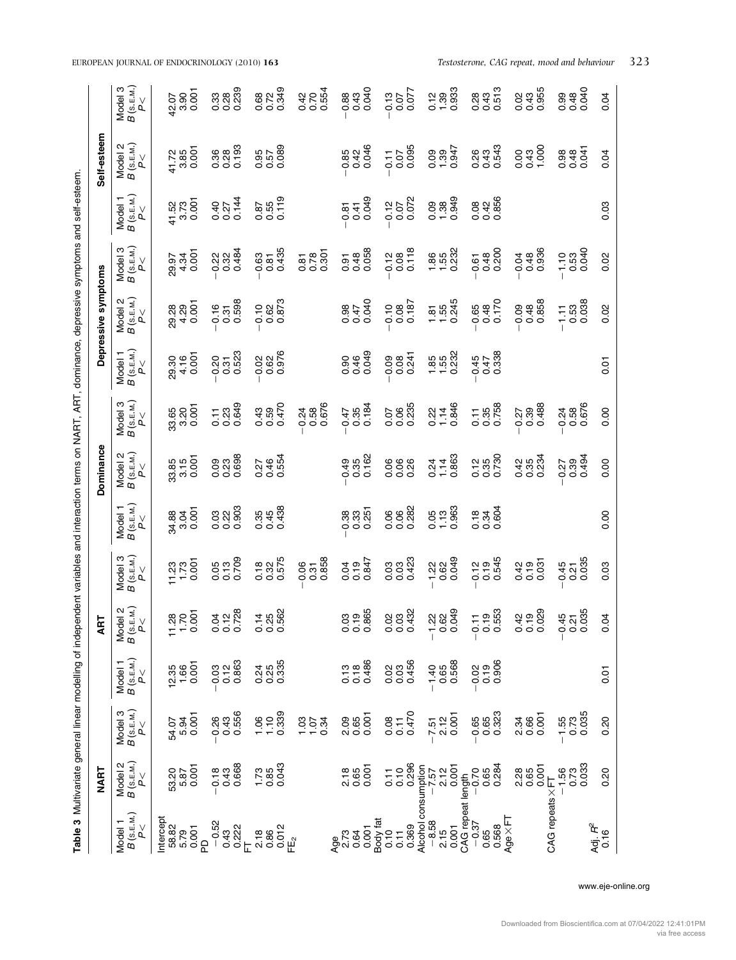<span id="page-4-0"></span>

|                                              |                                                       |                                 |                                                                              |                                                                                    |                                                                                      |                             | Table 3 Multivariate general linear modelling of independent variables and interaction terms on NART, ART, dominance, depressive symptoms and self-esteem. |                                                                                        |                                                                                                                                                                                                                                                                                                                                                                                                                                            |                                                                                                 |                                                                                                                                |                                                                                                              |                                                                                                 |                                                                                                     |
|----------------------------------------------|-------------------------------------------------------|---------------------------------|------------------------------------------------------------------------------|------------------------------------------------------------------------------------|--------------------------------------------------------------------------------------|-----------------------------|------------------------------------------------------------------------------------------------------------------------------------------------------------|----------------------------------------------------------------------------------------|--------------------------------------------------------------------------------------------------------------------------------------------------------------------------------------------------------------------------------------------------------------------------------------------------------------------------------------------------------------------------------------------------------------------------------------------|-------------------------------------------------------------------------------------------------|--------------------------------------------------------------------------------------------------------------------------------|--------------------------------------------------------------------------------------------------------------|-------------------------------------------------------------------------------------------------|-----------------------------------------------------------------------------------------------------|
|                                              | NART                                                  |                                 |                                                                              | ART                                                                                |                                                                                      |                             | Dominance                                                                                                                                                  |                                                                                        |                                                                                                                                                                                                                                                                                                                                                                                                                                            | Depressive symptoms                                                                             |                                                                                                                                |                                                                                                              | Self-esteem                                                                                     |                                                                                                     |
| $B$ (S.E.M.)<br>$P<$<br>Model 1              | Model 2<br>B (S.E.M.)<br>$\mathbf{A}$                 | $B$ (s.e.m.)<br>$P<$<br>Model 3 | $\begin{array}{l} \text{Model 1} \\ B \text{ (s. e. w.)} \\ P < \end{array}$ | $\begin{array}{l} \text{Model 2}\\ B\left(\text{s.E.M.}\right)\\ P<\\ \end{array}$ | $\begin{array}{c} \text{Model 3} \\ B \text{ (s.E.M.)} \\ \text{P} < \\ \end{array}$ | $B$ (S.E.M.)<br>Model<br>a. | $\begin{array}{l} \text{Model 2}\\ B\left(\text{s.e.M.}\right)\\ P<\\ \end{array}$                                                                         | $\begin{array}{c} \text{Model 3} \\ B \text{ (s. e. w.)} \\ \text{P} < \\ \end{array}$ | $\mathsf{B}\left( \mathsf{s}.\mathsf{E}.\mathsf{M}.\right) \\ \mathsf{P} < % \mathsf{M} \mathsf{M} \mathsf{M} \mathsf{M} \mathsf{M} \mathsf{M} \mathsf{M} \mathsf{M} \mathsf{M} \mathsf{M} \mathsf{M} \mathsf{M} \mathsf{M} \mathsf{M} \mathsf{M} \mathsf{M} \mathsf{M} \mathsf{M} \mathsf{M} \mathsf{M} \mathsf{M} \mathsf{M} \mathsf{M} \mathsf{M} \mathsf{M} \mathsf{M} \mathsf{M} \mathsf{M} \mathsf{M} \mathsf{M} \mathsf$<br>Model 1 | $\begin{array}{l} \text{Model 2}\\ B\left(\text{s.e.m.}\right)\\ \text{P}\leqslant \end{array}$ | $\begin{array}{l} \text{Model 3} \\ B \text{(s.e.M.)} \\ \textcolor{red}{P\text{<}} \\ \textcolor{red}{P\text{<}} \end{array}$ | $\begin{array}{l} \textsf{Model 1} \\ B\left(\text{s.e.m.}\right) \\ \textsf{P}< \\ \textsf{P}< \end{array}$ | $\begin{array}{l} \text{Model 2}\\ B\left(\text{s.E.M.}\right)\\ \text{P}\leqslant \end{array}$ | $\begin{array}{l} \text{Model 3} \\ B \text{ (s.E.M.)} \\ \textcolor{red}{P\text{ < }} \end{array}$ |
| Intercept<br>58.82<br>5.79                   | 5.87<br>0.001<br>53.20                                | 5.94<br>0.001<br>54.07          | 12.35<br>1.66                                                                | $1,28$<br>$1,70$<br>$0.001$<br>H                                                   | $\begin{array}{c} 11.23 \\ 1.73 \\ 0.001 \end{array}$                                | 34.88<br>3.04<br>0.001      | $33.85$<br>$3.15$<br>$0.001$                                                                                                                               | 33.65<br>3.20<br>0.001                                                                 | 29.30<br>4.16<br>0.001                                                                                                                                                                                                                                                                                                                                                                                                                     | 29.28<br>4.29<br>0.001                                                                          | 29.97<br>4.34<br>0.001                                                                                                         | 41.52<br>3.73<br>0.001                                                                                       | 41.72<br>3.85<br>0.001                                                                          | $42.07$<br>$3.90$<br>$0.001$                                                                        |
| 0.001<br>윤                                   |                                                       |                                 | 0.001                                                                        |                                                                                    |                                                                                      |                             |                                                                                                                                                            |                                                                                        |                                                                                                                                                                                                                                                                                                                                                                                                                                            |                                                                                                 |                                                                                                                                |                                                                                                              |                                                                                                 |                                                                                                     |
| $-0.52$<br>0.43                              | $\begin{array}{r} -0.18 \\ 0.43 \\ 0.668 \end{array}$ | $-0.26$<br>0.43<br>0.556        | 88<br>0.2863<br>0.063                                                        | 0.0128<br>0.128<br>0.728                                                           | 0.05<br>0.13<br>0.709                                                                | ខ្លួង <b>ខ្លឹ</b>           | 0.3<br>0.3<br>0.698                                                                                                                                        | 0.11<br>0.23<br>0.649                                                                  | 0.31<br>0.523<br>0.523                                                                                                                                                                                                                                                                                                                                                                                                                     | $-0.31$<br>$0.598$                                                                              |                                                                                                                                | $0.27$<br>$0.27$<br>$0.44$                                                                                   | 0.38<br>0.28<br>0.193                                                                           | 33<br>333<br>0.00<br>0.00                                                                           |
| 0.222<br>岀                                   |                                                       |                                 |                                                                              |                                                                                    |                                                                                      |                             |                                                                                                                                                            |                                                                                        |                                                                                                                                                                                                                                                                                                                                                                                                                                            |                                                                                                 |                                                                                                                                |                                                                                                              |                                                                                                 |                                                                                                     |
| 0.012<br>2.18<br>0.86<br>EÊ<br>E             | $\begin{array}{c} 1.73 \\ 0.85 \\ 0.043 \end{array}$  | $1.06$<br>$1.10$<br>0.339       | 0.335<br>0.0.35<br>0.0.0                                                     | 0.14<br>0.25<br>0.562                                                              | 0.18<br>0.32<br>0.575                                                                | 8.438<br>0.438<br>0.0.0     | 0.27<br>0.46<br>0.554                                                                                                                                      | 0.43<br>0.59<br>0.470                                                                  | 888<br>0.976<br>0.976                                                                                                                                                                                                                                                                                                                                                                                                                      | 0.10<br>0.62<br>0.873                                                                           | 0.63<br>0.81<br>0.435                                                                                                          | 0.87<br>0.55<br>0.119                                                                                        | 0.95<br>0.57<br>0.089                                                                           | 0.68<br>0.749<br>0.349                                                                              |
|                                              |                                                       | 3074                            |                                                                              |                                                                                    | 0.31<br>0.31<br>0.858                                                                |                             |                                                                                                                                                            | 0.676<br>0.58                                                                          |                                                                                                                                                                                                                                                                                                                                                                                                                                            |                                                                                                 | 0.81<br>0.301<br>0.301                                                                                                         |                                                                                                              |                                                                                                 | 0.42<br>0.554<br>0.554                                                                              |
| 0.64<br>Age<br>2.73                          | $2.18$<br>0.65<br>0.001                               | 085<br>0.65<br>0.001            | $0.13$<br>$0.486$<br>$0.486$                                                 | $0.03$<br>$0.19$<br>$0.865$                                                        | $0.847$<br>0.847                                                                     | 8885<br>0025                | 0.49<br>0.35<br>0.162                                                                                                                                      | $0.47$<br>0.35<br>0.184                                                                | 0.348<br>0.469                                                                                                                                                                                                                                                                                                                                                                                                                             | 0.98<br>0.47<br>0.040                                                                           | 0.91<br>0.48<br>0.058                                                                                                          | $0.81$<br>0.41<br>0.049                                                                                      | 0.85<br>0.42<br>0.046                                                                           | 0.88<br>0.43<br>0.040                                                                               |
| Body fat<br>0.001                            |                                                       |                                 |                                                                              |                                                                                    |                                                                                      |                             |                                                                                                                                                            |                                                                                        |                                                                                                                                                                                                                                                                                                                                                                                                                                            |                                                                                                 |                                                                                                                                |                                                                                                              |                                                                                                 |                                                                                                     |
| 0.369<br>0.10<br>0.11                        | 0.296<br>$\begin{array}{c} 7.1 \\ 0.10 \end{array}$   | 0.0470<br>0.470                 | 0.456<br>88<br>0.0                                                           | 888<br>000                                                                         | 0.03<br>0.0423<br>0.00                                                               | 882<br>0.082<br>0.082       | 8888<br>000                                                                                                                                                | 0.08<br>0.08<br>0.0235                                                                 | 8841<br>8841                                                                                                                                                                                                                                                                                                                                                                                                                               | 0.10<br>0.087<br>0.187                                                                          | $-0.12$<br>$0.08$<br>$0.118$                                                                                                   | $0.12$<br>$0.07$<br>$0.072$                                                                                  | 0.095<br>0.07<br>$-0.11$                                                                        | $0.13$<br>$0.07$<br>$0.07$                                                                          |
| Alcohol consumption<br>-8.58 -7.57           |                                                       | $-7.51$<br>2.12<br>0.001        | $-1.40$                                                                      | $\frac{8}{9}$ $\frac{8}{9}$<br>$\overline{a}$ o o                                  | $-1.22$<br>0.62<br>0.049                                                             | $0.95$<br>$1.19$<br>$0.963$ | $0.24$<br>$1.14$<br>$0.863$                                                                                                                                | $0.22$<br>$1.14$<br>$0.846$                                                            | $1.55$<br>$1.532$<br>$0.232$                                                                                                                                                                                                                                                                                                                                                                                                               | $1.55$<br>$1.55$<br>$0.245$                                                                     | $1.55$<br>$1.532$<br>$0.232$                                                                                                   | 0.349<br>0.549                                                                                               | $0.39$<br>$1.39$<br>$0.947$                                                                     | 0.3933                                                                                              |
| 2.15<br>0.001                                | $2.12$<br>0.001                                       |                                 | 0.65<br>0.568                                                                |                                                                                    |                                                                                      |                             |                                                                                                                                                            |                                                                                        |                                                                                                                                                                                                                                                                                                                                                                                                                                            |                                                                                                 |                                                                                                                                |                                                                                                              |                                                                                                 |                                                                                                     |
| CAG repeat length<br>$-0.37$ $-0.70$<br>0.65 | 0.65<br>0.284                                         | $-0.65$<br>$0.65$<br>$0.323$    | $-0.02$<br>0.19<br>0.906                                                     | $\begin{array}{r} -0.11 \\ 0.19 \\ 0.553 \end{array}$                              | 0.19<br>0.19<br>0.545                                                                | 0.34<br>0.34                | $0.12$<br>0.35                                                                                                                                             | 0.11<br>0.35<br>0.758                                                                  | $0.45$<br>0.47<br>0.338                                                                                                                                                                                                                                                                                                                                                                                                                    | -0.65<br>0.48<br>0.170                                                                          | $-0.61$                                                                                                                        | 0.356<br>0.356<br>0.85                                                                                       | 0.26<br>0.43<br>0.543                                                                           | 0.28<br>0.43<br>0.513                                                                               |
| $Age \times FI$<br>0.568                     |                                                       |                                 |                                                                              |                                                                                    |                                                                                      | 0.604                       | 0.730                                                                                                                                                      |                                                                                        |                                                                                                                                                                                                                                                                                                                                                                                                                                            |                                                                                                 | 0.48<br>0.200                                                                                                                  |                                                                                                              |                                                                                                 |                                                                                                     |
|                                              | 28<br>285<br>20001                                    | $\frac{34}{360}$ 001            |                                                                              | 9980<br>o o o                                                                      | $\begin{array}{c} 42 \\ 40 \\ 0.05 \\ 0.05 \end{array}$                              |                             | 0.42<br>0.35<br>0.234                                                                                                                                      | $-0.27$<br>0.39<br>0.488                                                               |                                                                                                                                                                                                                                                                                                                                                                                                                                            | $-0.48$<br>0.48<br>0.858                                                                        | 0.48<br>0.936<br>$-0.04$                                                                                                       |                                                                                                              | 1.000<br>0.43<br>0.43                                                                           | 0.43<br>0.43<br>0.955                                                                               |
| CAG repeats XFT                              | 0.73<br>0.033<br>$-1.56$                              | $\frac{1.55}{0.73}$             |                                                                              | 0.45<br>0.21<br>0.035                                                              | $0.45$<br>$0.21$<br>$0.035$                                                          |                             | 0.27<br>0.394<br>0.494                                                                                                                                     | -0.58<br>0.58<br>0.676                                                                 |                                                                                                                                                                                                                                                                                                                                                                                                                                            | $\begin{array}{c} 111 \\ 0.53 \\ 0.038 \end{array}$                                             | $\begin{array}{r} -1.10 \\ 0.53 \\ 0.040 \end{array}$                                                                          |                                                                                                              | 0.98<br>0.48<br>0.041                                                                           | 0.99<br>0.48<br>0.040                                                                               |
| Adj. $\mathsf{R}^2$<br>0.16                  | 0.20                                                  | 0.20                            | 0.01                                                                         | 0.04                                                                               | 0.03                                                                                 | 0.00                        | 0.00                                                                                                                                                       | 0.00                                                                                   | 0.01                                                                                                                                                                                                                                                                                                                                                                                                                                       | 0.02                                                                                            | 0.02                                                                                                                           | 0.03                                                                                                         | 0.04                                                                                            | 0.04                                                                                                |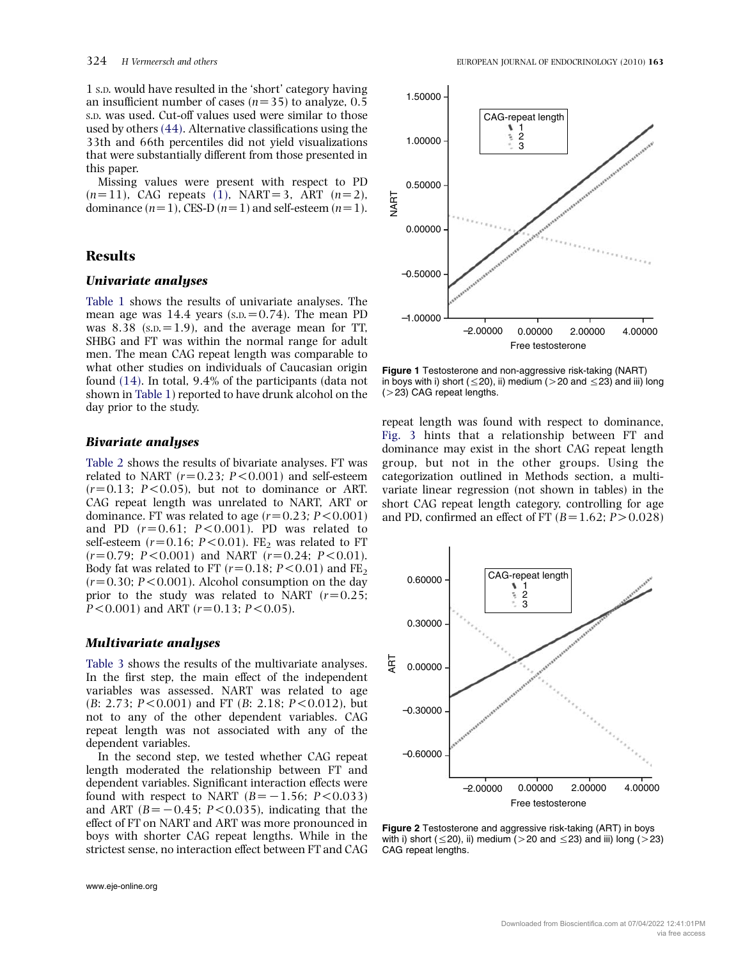<span id="page-5-0"></span>1 S.D. would have resulted in the 'short' category having an insufficient number of cases  $(n=35)$  to analyze, 0.5 S.D. was used. Cut-off values used were similar to those used by others [\(44\)](#page-9-0). Alternative classifications using the 33th and 66th percentiles did not yield visualizations that were substantially different from those presented in this paper.

Missing values were present with respect to PD  $(n=11)$ , CAG repeats [\(1\),](#page-7-0) NART = 3, ART  $(n=2)$ , dominance  $(n=1)$ , CES-D  $(n=1)$  and self-esteem  $(n=1)$ .

## **Results**

#### Univariate analyses

[Table 1](#page-2-0) shows the results of univariate analyses. The mean age was 14.4 years  $(s.D. = 0.74)$ . The mean PD was 8.38 (s.p.  $=$  1.9), and the average mean for TT, SHBG and FT was within the normal range for adult men. The mean CAG repeat length was comparable to what other studies on individuals of Caucasian origin found [\(14\).](#page-8-0) In total, 9.4% of the participants (data not shown in [Table 1](#page-2-0)) reported to have drunk alcohol on the day prior to the study.

## Bivariate analyses

[Table 2](#page-3-0) shows the results of bivariate analyses. FT was related to NART  $(r=0.23; P<0.001)$  and self-esteem  $(r=0.13; P<0.05)$ , but not to dominance or ART. CAG repeat length was unrelated to NART, ART or dominance. FT was related to age  $(r=0.23; P<0.001)$ and PD  $(r=0.61; P<0.001)$ . PD was related to self-esteem ( $r=0.16$ ;  $P < 0.01$ ). FE<sub>2</sub> was related to FT  $(r=0.79; P<0.001)$  and NART  $(r=0.24; P<0.01)$ . Body fat was related to FT  $(r=0.18; P<0.01)$  and FE<sub>2</sub>.  $(r=0.30; P<0.001)$ . Alcohol consumption on the day prior to the study was related to NART  $(r=0.25;$  $P < 0.001$ ) and ART ( $r = 0.13$ ;  $P < 0.05$ ).

#### Multivariate analyses

[Table 3](#page-4-0) shows the results of the multivariate analyses. In the first step, the main effect of the independent variables was assessed. NART was related to age  $(B: 2.73: P < 0.001)$  and FT  $(B: 2.18: P < 0.012)$ , but not to any of the other dependent variables. CAG repeat length was not associated with any of the dependent variables.

In the second step, we tested whether CAG repeat length moderated the relationship between FT and dependent variables. Significant interaction effects were found with respect to NART  $(B=-1.56; P<0.033)$ and ART ( $B = -0.45$ ;  $P < 0.035$ ), indicating that the effect of FT on NART and ART was more pronounced in boys with shorter CAG repeat lengths. While in the strictest sense, no interaction effect between FT and CAG



Figure 1 Testosterone and non-aggressive risk-taking (NART) in boys with i) short ( $\leq$ 20), ii) medium ( $>$ 20 and  $\leq$ 23) and iii) long  $(>23)$  CAG repeat lengths.

repeat length was found with respect to dominance, [Fig. 3](#page-6-0) hints that a relationship between FT and dominance may exist in the short CAG repeat length group, but not in the other groups. Using the categorization outlined in Methods section, a multivariate linear regression (not shown in tables) in the short CAG repeat length category, controlling for age and PD, confirmed an effect of FT  $(B=1.62; P>0.028)$ 



Figure 2 Testosterone and aggressive risk-taking (ART) in boys with i) short ( $\leq$ 20), ii) medium (>20 and  $\leq$ 23) and iii) long (>23) CAG repeat lengths.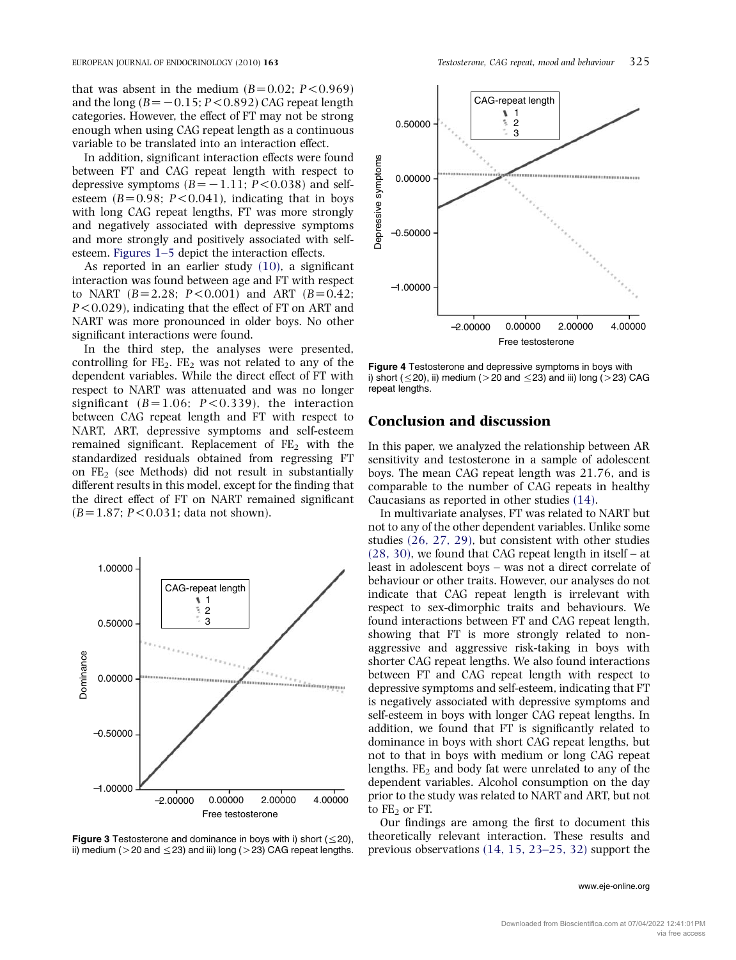<span id="page-6-0"></span>that was absent in the medium  $(B=0.02; P<0.969)$ and the long  $(B=-0.15; P<0.892)$  CAG repeat length categories. However, the effect of FT may not be strong enough when using CAG repeat length as a continuous variable to be translated into an interaction effect.

In addition, significant interaction effects were found between FT and CAG repeat length with respect to depressive symptoms  $(B=-1.11; P<0.038)$  and selfesteem  $(B=0.98; P<0.041)$ , indicating that in boys with long CAG repeat lengths, FT was more strongly and negatively associated with depressive symptoms and more strongly and positively associated with selfesteem. [Figures 1–5](#page-5-0) depict the interaction effects.

As reported in an earlier study [\(10\),](#page-8-0) a significant interaction was found between age and FT with respect to NART  $(B=2.28; P<0.001)$  and ART  $(B=0.42;$  $P < 0.029$ ), indicating that the effect of FT on ART and NART was more pronounced in older boys. No other significant interactions were found.

In the third step, the analyses were presented, controlling for  $FE_2$ .  $FE_2$  was not related to any of the dependent variables. While the direct effect of FT with respect to NART was attenuated and was no longer significant ( $B=1.06$ ;  $P < 0.339$ ), the interaction between CAG repeat length and FT with respect to NART, ART, depressive symptoms and self-esteem remained significant. Replacement of  $FE<sub>2</sub>$  with the standardized residuals obtained from regressing FT on FE<sub>2</sub> (see Methods) did not result in substantially different results in this model, except for the finding that the direct effect of FT on NART remained significant  $(B=1.87; P<0.031; data not shown).$ 



**Figure 3** Testosterone and dominance in boys with i) short  $(\leq 20)$ , ii) medium ( $>$ 20 and  $\leq$ 23) and iii) long ( $>$ 23) CAG repeat lengths.



Figure 4 Testosterone and depressive symptoms in boys with i) short ( $\leq$ 20), ii) medium ( $>$ 20 and  $\leq$ 23) and iii) long ( $>$ 23) CAG repeat lengths.

# Conclusion and discussion

In this paper, we analyzed the relationship between AR sensitivity and testosterone in a sample of adolescent boys. The mean CAG repeat length was 21.76, and is comparable to the number of CAG repeats in healthy Caucasians as reported in other studies [\(14\).](#page-8-0)

In multivariate analyses, FT was related to NART but not to any of the other dependent variables. Unlike some studies [\(26, 27, 29\),](#page-8-0) but consistent with other studies [\(28, 30\)](#page-8-0), we found that CAG repeat length in itself – at least in adolescent boys – was not a direct correlate of behaviour or other traits. However, our analyses do not indicate that CAG repeat length is irrelevant with respect to sex-dimorphic traits and behaviours. We found interactions between FT and CAG repeat length, showing that FT is more strongly related to nonaggressive and aggressive risk-taking in boys with shorter CAG repeat lengths. We also found interactions between FT and CAG repeat length with respect to depressive symptoms and self-esteem, indicating that FT is negatively associated with depressive symptoms and self-esteem in boys with longer CAG repeat lengths. In addition, we found that FT is significantly related to dominance in boys with short CAG repeat lengths, but not to that in boys with medium or long CAG repeat lengths.  $FE<sub>2</sub>$  and body fat were unrelated to any of the dependent variables. Alcohol consumption on the day prior to the study was related to NART and ART, but not to FE<sub>2</sub> or FT.

Our findings are among the first to document this theoretically relevant interaction. These results and previous observations [\(14, 15, 23–25, 32\)](#page-8-0) support the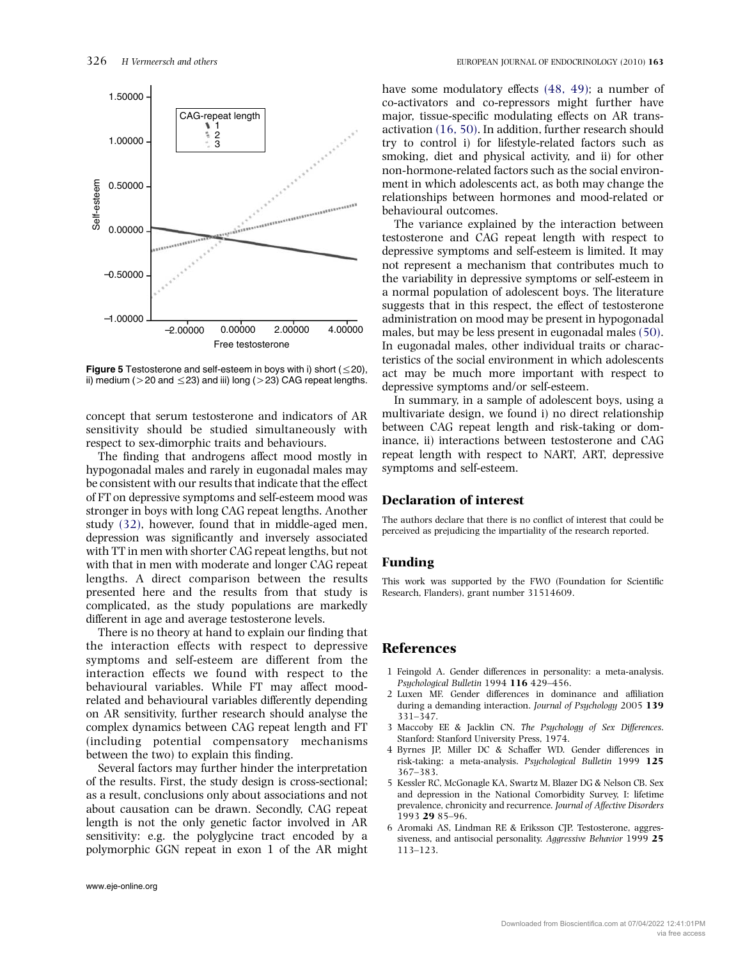<span id="page-7-0"></span>

Figure 5 Testosterone and self-esteem in boys with i) short  $(\leq 20)$ , ii) medium ( $>$  20 and  $\leq$  23) and iii) long ( $>$  23) CAG repeat lengths.

concept that serum testosterone and indicators of AR sensitivity should be studied simultaneously with respect to sex-dimorphic traits and behaviours.

The finding that androgens affect mood mostly in hypogonadal males and rarely in eugonadal males may be consistent with our results that indicate that the effect of FT on depressive symptoms and self-esteem mood was stronger in boys with long CAG repeat lengths. Another study [\(32\),](#page-8-0) however, found that in middle-aged men, depression was significantly and inversely associated with TT in men with shorter CAG repeat lengths, but not with that in men with moderate and longer CAG repeat lengths. A direct comparison between the results presented here and the results from that study is complicated, as the study populations are markedly different in age and average testosterone levels.

There is no theory at hand to explain our finding that the interaction effects with respect to depressive symptoms and self-esteem are different from the interaction effects we found with respect to the behavioural variables. While FT may affect moodrelated and behavioural variables differently depending on AR sensitivity, further research should analyse the complex dynamics between CAG repeat length and FT (including potential compensatory mechanisms between the two) to explain this finding.

Several factors may further hinder the interpretation of the results. First, the study design is cross-sectional; as a result, conclusions only about associations and not about causation can be drawn. Secondly, CAG repeat length is not the only genetic factor involved in AR sensitivity: e.g. the polyglycine tract encoded by a polymorphic GGN repeat in exon 1 of the AR might

have some modulatory effects [\(48, 49\)](#page-9-0); a number of co-activators and co-repressors might further have major, tissue-specific modulating effects on AR transactivation [\(16, 50\)](#page-8-0). In addition, further research should try to control i) for lifestyle-related factors such as smoking, diet and physical activity, and ii) for other non-hormone-related factors such as the social environment in which adolescents act, as both may change the relationships between hormones and mood-related or behavioural outcomes.

The variance explained by the interaction between testosterone and CAG repeat length with respect to depressive symptoms and self-esteem is limited. It may not represent a mechanism that contributes much to the variability in depressive symptoms or self-esteem in a normal population of adolescent boys. The literature suggests that in this respect, the effect of testosterone administration on mood may be present in hypogonadal males, but may be less present in eugonadal males [\(50\).](#page-9-0) In eugonadal males, other individual traits or characteristics of the social environment in which adolescents act may be much more important with respect to depressive symptoms and/or self-esteem.

In summary, in a sample of adolescent boys, using a multivariate design, we found i) no direct relationship between CAG repeat length and risk-taking or dominance, ii) interactions between testosterone and CAG repeat length with respect to NART, ART, depressive symptoms and self-esteem.

#### Declaration of interest

The authors declare that there is no conflict of interest that could be perceived as prejudicing the impartiality of the research reported.

#### Funding

This work was supported by the FWO (Foundation for Scientific Research, Flanders), grant number 31514609.

# References

- 1 Feingold A. Gender differences in personality: a meta-analysis. Psychological Bulletin 1994 116 429–456.
- 2 Luxen MF. Gender differences in dominance and affiliation during a demanding interaction. Journal of Psychology 2005 139 331–347.
- 3 Maccoby EE & Jacklin CN. The Psychology of Sex Differences. Stanford: Stanford University Press, 1974.
- 4 Byrnes JP, Miller DC & Schaffer WD. Gender differences in risk-taking: a meta-analysis. Psychological Bulletin 1999 125 367–383.
- 5 Kessler RC, McGonagle KA, Swartz M, Blazer DG & Nelson CB. Sex and depression in the National Comorbidity Survey, I: lifetime prevalence, chronicity and recurrence. Journal of Affective Disorders 1993 29 85–96.
- 6 Aromaki AS, Lindman RE & Eriksson CJP. Testosterone, aggressiveness, and antisocial personality. Aggressive Behavior 1999 25 113–123.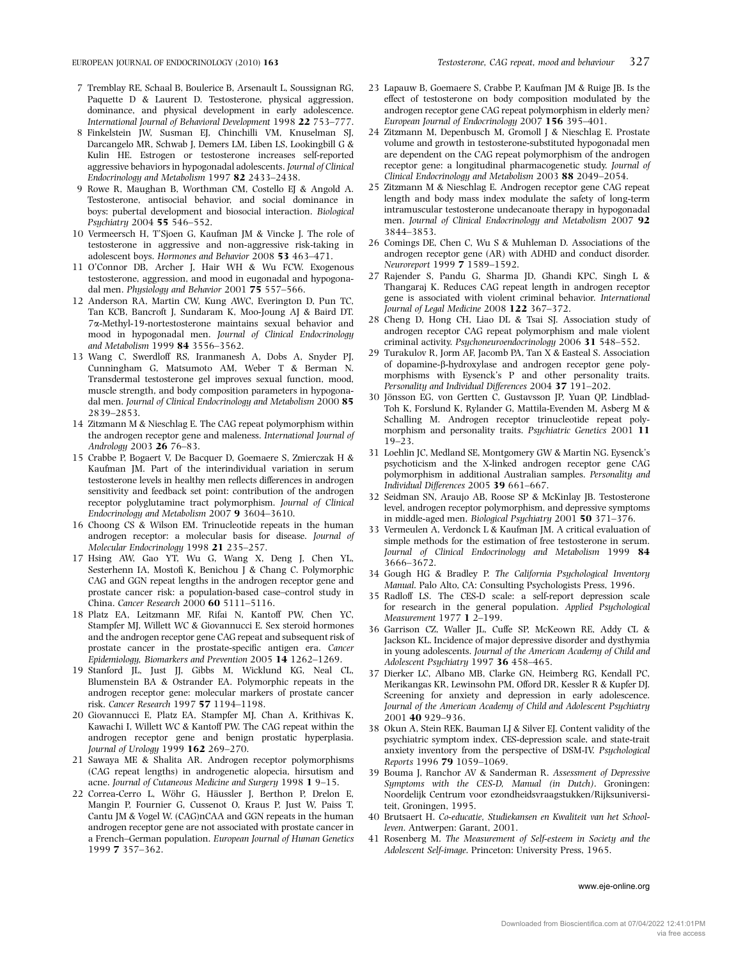- <span id="page-8-0"></span>7 Tremblay RE, Schaal B, Boulerice B, Arsenault L, Soussignan RG, Paquette D & Laurent D. Testosterone, physical aggression, dominance, and physical development in early adolescence. International Journal of Behavioral Development 1998 22 753–777.
- 8 Finkelstein JW, Susman EJ, Chinchilli VM, Knuselman SJ, Darcangelo MR, Schwab J, Demers LM, Liben LS, Lookingbill G & Kulin HE. Estrogen or testosterone increases self-reported aggressive behaviors in hypogonadal adolescents. Journal of Clinical Endocrinology and Metabolism 1997 82 2433–2438.
- 9 Rowe R, Maughan B, Worthman CM, Costello EJ & Angold A. Testosterone, antisocial behavior, and social dominance in boys: pubertal development and biosocial interaction. Biological Psychiatry 2004 55 546–552.
- 10 Vermeersch H, T'Sjoen G, Kaufman JM & Vincke J. The role of testosterone in aggressive and non-aggressive risk-taking in adolescent boys. Hormones and Behavior 2008 53 463–471.
- 11 O'Connor DB, Archer J, Hair WH & Wu FCW. Exogenous testosterone, aggression, and mood in eugonadal and hypogonadal men. Physiology and Behavior 2001 75 557-566.
- 12 Anderson RA, Martin CW, Kung AWC, Everington D, Pun TC, Tan KCB, Bancroft J, Sundaram K, Moo-Joung AJ & Baird DT. 7a-Methyl-19-nortestosterone maintains sexual behavior and mood in hypogonadal men. Journal of Clinical Endocrinology and Metabolism 1999 84 3556–3562.
- 13 Wang C, Swerdloff RS, Iranmanesh A, Dobs A, Snyder PJ, Cunningham G, Matsumoto AM, Weber T & Berman N. Transdermal testosterone gel improves sexual function, mood, muscle strength, and body composition parameters in hypogonadal men. Journal of Clinical Endocrinology and Metabolism 2000 85 2839–2853.
- 14 Zitzmann M & Nieschlag E. The CAG repeat polymorphism within the androgen receptor gene and maleness. International Journal of Andrology 2003 26 76–83.
- 15 Crabbe P, Bogaert V, De Bacquer D, Goemaere S, Zmierczak H & Kaufman JM. Part of the interindividual variation in serum testosterone levels in healthy men reflects differences in androgen sensitivity and feedback set point: contribution of the androgen receptor polyglutamine tract polymorphism. Journal of Clinical Endocrinology and Metabolism 2007 9 3604–3610.
- 16 Choong CS & Wilson EM. Trinucleotide repeats in the human androgen receptor: a molecular basis for disease. Journal of Molecular Endocrinology 1998 21 235–257.
- 17 Hsing AW, Gao YT, Wu G, Wang X, Deng J, Chen YL, Sesterhenn IA, Mostofi K, Benichou J & Chang C. Polymorphic CAG and GGN repeat lengths in the androgen receptor gene and prostate cancer risk: a population-based case–control study in China. Cancer Research 2000 60 5111–5116.
- 18 Platz EA, Leitzmann MF, Rifai N, Kantoff PW, Chen YC, Stampfer MJ, Willett WC & Giovannucci E. Sex steroid hormones and the androgen receptor gene CAG repeat and subsequent risk of prostate cancer in the prostate-specific antigen era. Cancer Epidemiology, Biomarkers and Prevention 2005 14 1262–1269.
- 19 Stanford JL, Just JJ, Gibbs M, Wicklund KG, Neal CL, Blumenstein BA & Ostrander EA. Polymorphic repeats in the androgen receptor gene: molecular markers of prostate cancer risk. Cancer Research 1997 57 1194–1198.
- 20 Giovannucci E, Platz EA, Stampfer MJ, Chan A, Krithivas K, Kawachi I, Willett WC & Kantoff PW. The CAG repeat within the androgen receptor gene and benign prostatic hyperplasia. Journal of Urology 1999 162 269–270.
- 21 Sawaya ME & Shalita AR. Androgen receptor polymorphisms (CAG repeat lengths) in androgenetic alopecia, hirsutism and acne. Journal of Cutaneous Medicine and Surgery 1998 1 9–15.
- 22 Correa-Cerro L, Wöhr G, Häussler J, Berthon P, Drelon E, Mangin P, Fournier G, Cussenot O, Kraus P, Just W, Paiss T, Cantu JM & Vogel W. (CAG)nCAA and GGN repeats in the human androgen receptor gene are not associated with prostate cancer in a French–German population. European Journal of Human Genetics 1999 7 357–362.
- 23 Lapauw B, Goemaere S, Crabbe P, Kaufman JM & Ruige JB. Is the effect of testosterone on body composition modulated by the androgen receptor gene CAG repeat polymorphism in elderly men? European Journal of Endocrinology 2007 156 395–401.
- 24 Zitzmann M, Depenbusch M, Gromoll J & Nieschlag E. Prostate volume and growth in testosterone-substituted hypogonadal men are dependent on the CAG repeat polymorphism of the androgen receptor gene: a longitudinal pharmacogenetic study. Journal of Clinical Endocrinology and Metabolism 2003 88 2049–2054.
- 25 Zitzmann M & Nieschlag E. Androgen receptor gene CAG repeat length and body mass index modulate the safety of long-term intramuscular testosterone undecanoate therapy in hypogonadal men. Journal of Clinical Endocrinology and Metabolism 2007 92 3844–3853.
- 26 Comings DE, Chen C, Wu S & Muhleman D. Associations of the androgen receptor gene (AR) with ADHD and conduct disorder. Neuroreport 1999 7 1589–1592.
- 27 Rajender S, Pandu G, Sharma JD, Ghandi KPC, Singh L & Thangaraj K. Reduces CAG repeat length in androgen receptor gene is associated with violent criminal behavior. International Journal of Legal Medicine 2008 122 367–372.
- 28 Cheng D, Hong CH, Liao DL & Tsai SJ. Association study of androgen receptor CAG repeat polymorphism and male violent criminal activity. Psychoneuroendocrinology 2006 31 548–552.
- 29 Turakulov R, Jorm AF, Jacomb PA, Tan X & Easteal S. Association of dopamine-b-hydroxylase and androgen receptor gene polymorphisms with Eysenck's P and other personality traits. Personality and Individual Differences 2004 37 191–202.
- 30 Jönsson EG, von Gertten C, Gustavsson JP, Yuan OP, Lindblad-Toh K, Forslund K, Rylander G, Mattila-Evenden M, Asberg M & Schalling M. Androgen receptor trinucleotide repeat polymorphism and personality traits. Psychiatric Genetics 2001 11 19–23.
- 31 Loehlin JC, Medland SE, Montgomery GW & Martin NG. Eysenck's psychoticism and the X-linked androgen receptor gene CAG polymorphism in additional Australian samples. Personality and Individual Differences 2005 39 661–667.
- 32 Seidman SN, Araujo AB, Roose SP & McKinlay JB. Testosterone level, androgen receptor polymorphism, and depressive symptoms in middle-aged men. Biological Psychiatry 2001 50 371–376.
- 33 Vermeulen A, Verdonck L & Kaufman JM. A critical evaluation of simple methods for the estimation of free testosterone in serum. Journal of Clinical Endocrinology and Metabolism 1999 84 3666–3672.
- 34 Gough HG & Bradley P. The California Psychological Inventory Manual. Palo Alto, CA: Consulting Psychologists Press, 1996.
- 35 Radloff LS. The CES-D scale: a self-report depression scale for research in the general population. Applied Psychological Measurement 1977 1 2–199.
- 36 Garrison CZ, Waller JL, Cuffe SP, McKeown RE, Addy CL & Jackson KL. Incidence of major depressive disorder and dysthymia in young adolescents. Journal of the American Academy of Child and Adolescent Psychiatry 1997 36 458–465.
- 37 Dierker LC, Albano MB, Clarke GN, Heimberg RG, Kendall PC, Merikangas KR, Lewinsohn PM, Offord DR, Kessler R & Kupfer DJ. Screening for anxiety and depression in early adolescence. Journal of the American Academy of Child and Adolescent Psychiatry 2001 40 929–936.
- 38 Okun A, Stein REK, Bauman LJ & Silver EJ. Content validity of the psychiatric symptom index, CES-depression scale, and state-trait anxiety inventory from the perspective of DSM-IV. Psychological Reports 1996 79 1059–1069.
- 39 Bouma J, Ranchor AV & Sanderman R. Assessment of Depressive Symptoms with the CES-D, Manual (in Dutch). Groningen: Noordelijk Centrum voor ezondheidsvraagstukken/Rijksuniversiteit, Groningen, 1995.
- 40 Brutsaert H. Co-educatie, Studiekansen en Kwaliteit van het Schoolleven. Antwerpen: Garant, 2001.
- 41 Rosenberg M. The Measurement of Self-esteem in Society and the Adolescent Self-image. Princeton: University Press, 1965.